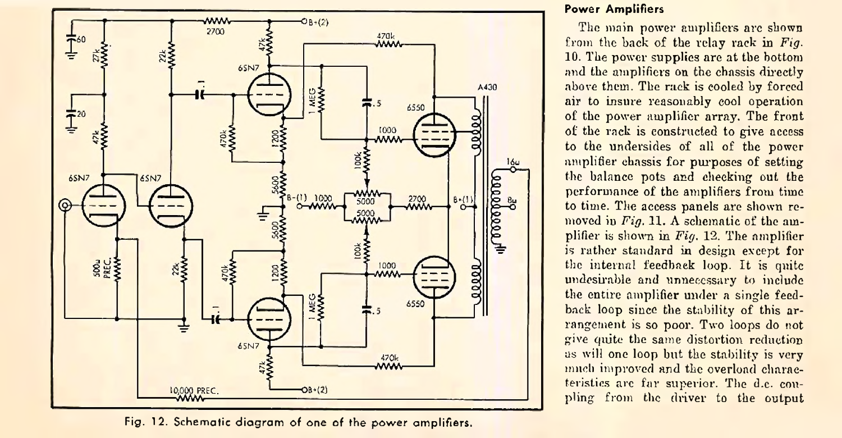

**Fig. 12. Schematic diagram of one of Hie power amplifiers.**

## **Power Amplifiers**

The main power amplifiers are shown from the back of the relay rack in *Fig.* 10. The power supplies are at the bottom and the amplifiers on the chassis directly above them. The rack is cooled by forced air to insure reasonably cool operation of the power amplifier array. The front of the rack is constructed to give access to the undersides of all of the power amplifier chassis for purposes of setting the balance pots and cheeking out the performance of the amplifiers from time to time. The access panels are shown removed in *Fig.* 11. A schematic of the amplifier is shown in *Fig.* 12. The amplifier is rather standard in design except for the internal feedback loop. It is quite undesirable and unnecessary to include the entire amplifier under a single feedback loop since the stability of this arrangement is so poor. Two loops do not give quite the same distortion reduction us will one loop but the stability is very much improved and the overload characteristics are far superior. The d.c. coupling from the driver to the output